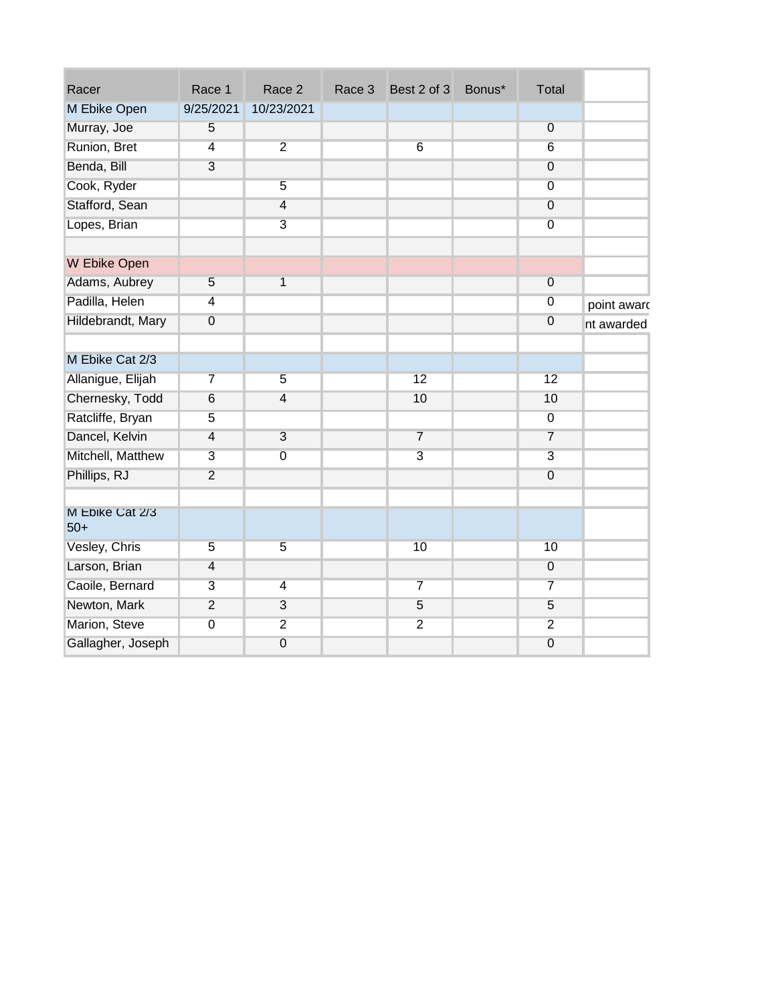| Racer                    | Race 1           | Race 2         | Race 3 | Best 2 of 3    | Bonus* | Total            |             |
|--------------------------|------------------|----------------|--------|----------------|--------|------------------|-------------|
| M Ebike Open             | 9/25/2021        | 10/23/2021     |        |                |        |                  |             |
| Murray, Joe              | 5                |                |        |                |        | $\overline{0}$   |             |
| Runion, Bret             | $\overline{4}$   | $\overline{2}$ |        | $\sqrt{6}$     |        | $6\,$            |             |
| Benda, Bill              | $\overline{3}$   |                |        |                |        | $\boldsymbol{0}$ |             |
| Cook, Ryder              |                  | $\overline{5}$ |        |                |        | $\overline{0}$   |             |
| Stafford, Sean           |                  | $\overline{4}$ |        |                |        | $\overline{0}$   |             |
| Lopes, Brian             |                  | $\overline{3}$ |        |                |        | $\overline{0}$   |             |
|                          |                  |                |        |                |        |                  |             |
| W Ebike Open             |                  |                |        |                |        |                  |             |
| Adams, Aubrey            | $\overline{5}$   | $\overline{1}$ |        |                |        | $\overline{0}$   |             |
| Padilla, Helen           | 4                |                |        |                |        | $\overline{0}$   | point award |
| Hildebrandt, Mary        | $\boldsymbol{0}$ |                |        |                |        | $\overline{0}$   | nt awarded  |
|                          |                  |                |        |                |        |                  |             |
| M Ebike Cat 2/3          |                  |                |        |                |        |                  |             |
| Allanigue, Elijah        | $\overline{7}$   | $\overline{5}$ |        | 12             |        | 12               |             |
| Chernesky, Todd          | $\,6$            | $\overline{4}$ |        | 10             |        | 10               |             |
| Ratcliffe, Bryan         | $\overline{5}$   |                |        |                |        | $\overline{0}$   |             |
| Dancel, Kelvin           | $\overline{4}$   | $\overline{3}$ |        | $\overline{7}$ |        | $\overline{7}$   |             |
| Mitchell, Matthew        | $\overline{3}$   | $\overline{0}$ |        | $\overline{3}$ |        | $\overline{3}$   |             |
| Phillips, RJ             | $\overline{2}$   |                |        |                |        | $\boldsymbol{0}$ |             |
|                          |                  |                |        |                |        |                  |             |
| M Ebike Cat 2/3<br>$50+$ |                  |                |        |                |        |                  |             |
| Vesley, Chris            | $\overline{5}$   | $\overline{5}$ |        | 10             |        | 10               |             |
| Larson, Brian            | $\overline{4}$   |                |        |                |        | $\overline{0}$   |             |
| Caoile, Bernard          | $\overline{3}$   | $\overline{4}$ |        | $\overline{7}$ |        | $\overline{7}$   |             |
| Newton, Mark             | $\overline{2}$   | 3              |        | $\overline{5}$ |        | $\overline{5}$   |             |
| Marion, Steve            | $\overline{0}$   | $\overline{2}$ |        | $\overline{2}$ |        | $\overline{2}$   |             |
| Gallagher, Joseph        |                  | $\overline{0}$ |        |                |        | $\overline{0}$   |             |